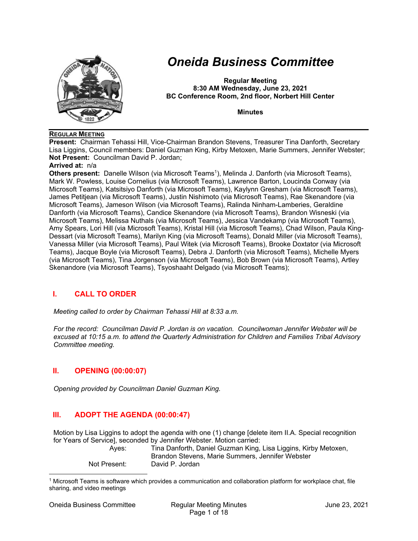

# *Oneida Business Committee*

**Regular Meeting 8:30 AM Wednesday, June 23, 2021 BC Conference Room, 2nd floor, Norbert Hill Center** 

**Minutes** 

#### **REGULAR MEETING**

**Present:** Chairman Tehassi Hill, Vice-Chairman Brandon Stevens, Treasurer Tina Danforth, Secretary Lisa Liggins, Council members: Daniel Guzman King, Kirby Metoxen, Marie Summers, Jennifer Webster; **Not Present:** Councilman David P. Jordan;

#### **Arrived at:** n/a

**Others present:** Danelle Wilson (via Microsoft Teams<sup>1</sup>), Melinda J. Danforth (via Microsoft Teams), Mark W. Powless, Louise Cornelius (via Microsoft Teams), Lawrence Barton, Loucinda Conway (via Microsoft Teams), Katsitsiyo Danforth (via Microsoft Teams), Kaylynn Gresham (via Microsoft Teams), James Petitjean (via Microsoft Teams), Justin Nishimoto (via Microsoft Teams), Rae Skenandore (via Microsoft Teams), Jameson Wilson (via Microsoft Teams), Ralinda Ninham-Lamberies, Geraldine Danforth (via Microsoft Teams), Candice Skenandore (via Microsoft Teams), Brandon Wisneski (via Microsoft Teams), Melissa Nuthals (via Microsoft Teams), Jessica Vandekamp (via Microsoft Teams), Amy Spears, Lori Hill (via Microsoft Teams), Kristal Hill (via Microsoft Teams), Chad Wilson, Paula King-Dessart (via Microsoft Teams), Marilyn King (via Microsoft Teams), Donald Miller (via Microsoft Teams), Vanessa Miller (via Microsoft Teams), Paul Witek (via Microsoft Teams), Brooke Doxtator (via Microsoft Teams), Jacque Boyle (via Microsoft Teams), Debra J. Danforth (via Microsoft Teams), Michelle Myers (via Microsoft Teams), Tina Jorgenson (via Microsoft Teams), Bob Brown (via Microsoft Teams), Artley Skenandore (via Microsoft Teams), Tsyoshaaht Delgado (via Microsoft Teams);

# **I. CALL TO ORDER**

*Meeting called to order by Chairman Tehassi Hill at 8:33 a.m.* 

*For the record: Councilman David P. Jordan is on vacation. Councilwoman Jennifer Webster will be excused at 10:15 a.m. to attend the Quarterly Administration for Children and Families Tribal Advisory Committee meeting.* 

# **II. OPENING (00:00:07)**

*Opening provided by Councilman Daniel Guzman King.* 

# **III. ADOPT THE AGENDA (00:00:47)**

Motion by Lisa Liggins to adopt the agenda with one (1) change [delete item II.A. Special recognition for Years of Service], seconded by Jennifer Webster. Motion carried:

| Ayes: |  |
|-------|--|
|       |  |
|       |  |
|       |  |

Tina Danforth, Daniel Guzman King, Lisa Liggins, Kirby Metoxen, Brandon Stevens, Marie Summers, Jennifer Webster Not Present: David P. Jordan

<sup>1</sup> Microsoft Teams is software which provides a communication and collaboration platform for workplace chat, file sharing, and video meetings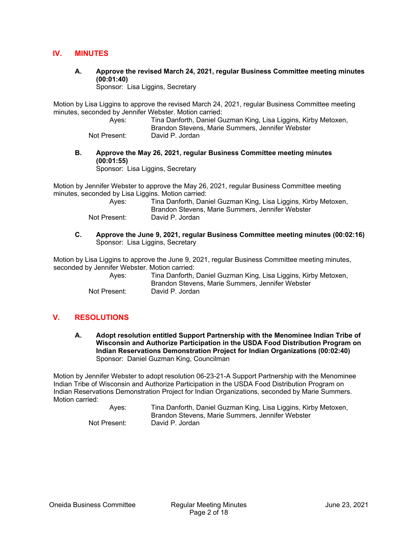## **IV. MINUTES**

**A. Approve the revised March 24, 2021, regular Business Committee meeting minutes (00:01:40)** 

Sponsor: Lisa Liggins, Secretary

Motion by Lisa Liggins to approve the revised March 24, 2021, regular Business Committee meeting minutes, seconded by Jennifer Webster. Motion carried:

 Ayes: Tina Danforth, Daniel Guzman King, Lisa Liggins, Kirby Metoxen, Brandon Stevens, Marie Summers, Jennifer Webster

Not Present: David P. Jordan

**B. Approve the May 26, 2021, regular Business Committee meeting minutes (00:01:55)** 

Sponsor: Lisa Liggins, Secretary

Motion by Jennifer Webster to approve the May 26, 2021, regular Business Committee meeting minutes, seconded by Lisa Liggins. Motion carried:

| Ayes:        | Tina Danforth, Daniel Guzman King, Lisa Liggins, Kirby Metoxen, |
|--------------|-----------------------------------------------------------------|
|              | Brandon Stevens, Marie Summers, Jennifer Webster                |
| Not Present: | David P. Jordan                                                 |

**C. Approve the June 9, 2021, regular Business Committee meeting minutes (00:02:16)**  Sponsor: Lisa Liggins, Secretary

Motion by Lisa Liggins to approve the June 9, 2021, regular Business Committee meeting minutes, seconded by Jennifer Webster. Motion carried:

| Ayes:        | Tina Danforth, Daniel Guzman King, Lisa Liggins, Kirby Metoxen, |
|--------------|-----------------------------------------------------------------|
|              | Brandon Stevens, Marie Summers, Jennifer Webster                |
| Not Present: | David P. Jordan                                                 |

# **V. RESOLUTIONS**

**A. Adopt resolution entitled Support Partnership with the Menominee Indian Tribe of Wisconsin and Authorize Participation in the USDA Food Distribution Program on Indian Reservations Demonstration Project for Indian Organizations (00:02:40)**  Sponsor: Daniel Guzman King, Councilman

Motion by Jennifer Webster to adopt resolution 06-23-21-A Support Partnership with the Menominee Indian Tribe of Wisconsin and Authorize Participation in the USDA Food Distribution Program on Indian Reservations Demonstration Project for Indian Organizations, seconded by Marie Summers. Motion carried:

| Ayes:        | Tina Danforth, Daniel Guzman King, Lisa Liggins, Kirby Metoxen, |
|--------------|-----------------------------------------------------------------|
|              | Brandon Stevens, Marie Summers, Jennifer Webster                |
| Not Present: | David P. Jordan                                                 |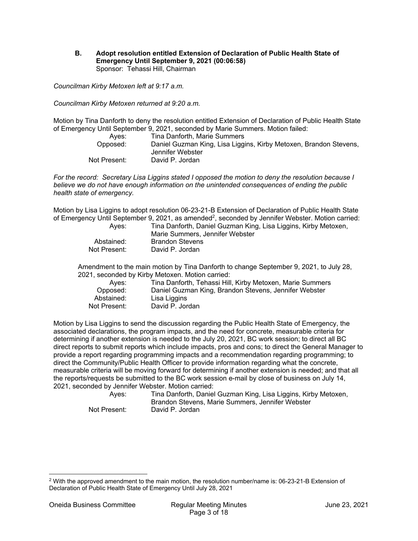**B. Adopt resolution entitled Extension of Declaration of Public Health State of Emergency Until September 9, 2021 (00:06:58)**  Sponsor: Tehassi Hill, Chairman

*Councilman Kirby Metoxen left at 9:17 a.m.* 

*Councilman Kirby Metoxen returned at 9:20 a.m.* 

Motion by Tina Danforth to deny the resolution entitled Extension of Declaration of Public Health State of Emergency Until September 9, 2021, seconded by Marie Summers. Motion failed:

| Aves:        | Tina Danforth, Marie Summers                                      |
|--------------|-------------------------------------------------------------------|
| Opposed:     | Daniel Guzman King, Lisa Liggins, Kirby Metoxen, Brandon Stevens, |
|              | Jennifer Webster                                                  |
| Not Present: | David P. Jordan                                                   |

*For the record: Secretary Lisa Liggins stated I opposed the motion to deny the resolution because I believe we do not have enough information on the unintended consequences of ending the public health state of emergency.* 

Motion by Lisa Liggins to adopt resolution 06-23-21-B Extension of Declaration of Public Health State of Emergency Until September 9, 2021, as amended<sup>2</sup>, seconded by Jennifer Webster. Motion carried:

| Aves:        | Tina Danforth, Daniel Guzman King, Lisa Liggins, Kirby Metoxen,<br>Marie Summers, Jennifer Webster |
|--------------|----------------------------------------------------------------------------------------------------|
| Abstained:   | Brandon Stevens                                                                                    |
| Not Present: | David P. Jordan                                                                                    |

 Amendment to the main motion by Tina Danforth to change September 9, 2021, to July 28, 2021, seconded by Kirby Metoxen. Motion carried:

| Aves:        | Tina Danforth, Tehassi Hill, Kirby Metoxen, Marie Summers |
|--------------|-----------------------------------------------------------|
| Opposed:     | Daniel Guzman King, Brandon Stevens, Jennifer Webster     |
| Abstained:   | Lisa Liggins                                              |
| Not Present: | David P. Jordan                                           |
|              |                                                           |

Motion by Lisa Liggins to send the discussion regarding the Public Health State of Emergency, the associated declarations, the program impacts, and the need for concrete, measurable criteria for determining if another extension is needed to the July 20, 2021, BC work session; to direct all BC direct reports to submit reports which include impacts, pros and cons; to direct the General Manager to provide a report regarding programming impacts and a recommendation regarding programming; to direct the Community/Public Health Officer to provide information regarding what the concrete, measurable criteria will be moving forward for determining if another extension is needed; and that all the reports/requests be submitted to the BC work session e-mail by close of business on July 14, 2021, seconded by Jennifer Webster. Motion carried:

Tina Danforth, Daniel Guzman King, Lisa Liggins, Kirby Metoxen, Brandon Stevens, Marie Summers, Jennifer Webster Not Present: David P. Jordan

<sup>2</sup> With the approved amendment to the main motion, the resolution number/name is: 06-23-21-B Extension of Declaration of Public Health State of Emergency Until July 28, 2021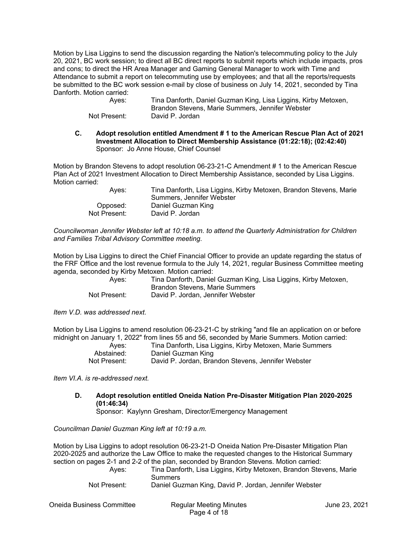Motion by Lisa Liggins to send the discussion regarding the Nation's telecommuting policy to the July 20, 2021, BC work session; to direct all BC direct reports to submit reports which include impacts, pros and cons; to direct the HR Area Manager and Gaming General Manager to work with Time and Attendance to submit a report on telecommuting use by employees; and that all the reports/requests be submitted to the BC work session e-mail by close of business on July 14, 2021, seconded by Tina Danforth. Motion carried:

 Ayes: Tina Danforth, Daniel Guzman King, Lisa Liggins, Kirby Metoxen, Brandon Stevens, Marie Summers, Jennifer Webster Not Present: David P. Jordan

**C. Adopt resolution entitled Amendment # 1 to the American Rescue Plan Act of 2021 Investment Allocation to Direct Membership Assistance (01:22:18); (02:42:40)**  Sponsor: Jo Anne House, Chief Counsel

Motion by Brandon Stevens to adopt resolution 06-23-21-C Amendment # 1 to the American Rescue Plan Act of 2021 Investment Allocation to Direct Membership Assistance, seconded by Lisa Liggins. Motion carried:

| Aves:        | Tina Danforth, Lisa Liggins, Kirby Metoxen, Brandon Stevens, Marie<br>Summers, Jennifer Webster |
|--------------|-------------------------------------------------------------------------------------------------|
| Opposed:     | Daniel Guzman King                                                                              |
| Not Present: | David P. Jordan                                                                                 |

*Councilwoman Jennifer Webster left at 10:18 a.m. to attend the Quarterly Administration for Children and Families Tribal Advisory Committee meeting.* 

Motion by Lisa Liggins to direct the Chief Financial Officer to provide an update regarding the status of the FRF Office and the lost revenue formula to the July 14, 2021, regular Business Committee meeting agenda, seconded by Kirby Metoxen. Motion carried:

| Ayes:        | Tina Danforth, Daniel Guzman King, Lisa Liggins, Kirby Metoxen, |
|--------------|-----------------------------------------------------------------|
|              | Brandon Stevens, Marie Summers                                  |
| Not Present: | David P. Jordan. Jennifer Webster                               |

*Item V.D. was addressed next.* 

Motion by Lisa Liggins to amend resolution 06-23-21-C by striking "and file an application on or before midnight on January 1, 2022" from lines 55 and 56, seconded by Marie Summers. Motion carried:

| Ayes:        | Tina Danforth, Lisa Liggins, Kirby Metoxen, Marie Summers |
|--------------|-----------------------------------------------------------|
| Abstained:   | Daniel Guzman King                                        |
| Not Present: | David P. Jordan, Brandon Stevens, Jennifer Webster        |

*Item VI.A. is re-addressed next.* 

**D. Adopt resolution entitled Oneida Nation Pre-Disaster Mitigation Plan 2020-2025 (01:46:34)** 

Sponsor: Kaylynn Gresham, Director/Emergency Management

*Councilman Daniel Guzman King left at 10:19 a.m.* 

Motion by Lisa Liggins to adopt resolution 06-23-21-D Oneida Nation Pre-Disaster Mitigation Plan 2020-2025 and authorize the Law Office to make the requested changes to the Historical Summary section on pages 2-1 and 2-2 of the plan, seconded by Brandon Stevens. Motion carried:

| Ayes:        | Tina Danforth, Lisa Liggins, Kirby Metoxen, Brandon Stevens, Marie |
|--------------|--------------------------------------------------------------------|
|              | <b>Summers</b>                                                     |
| Not Present: | Daniel Guzman King, David P. Jordan, Jennifer Webster              |

Oneida Business Committee Regular Meeting Minutes June 23, 2021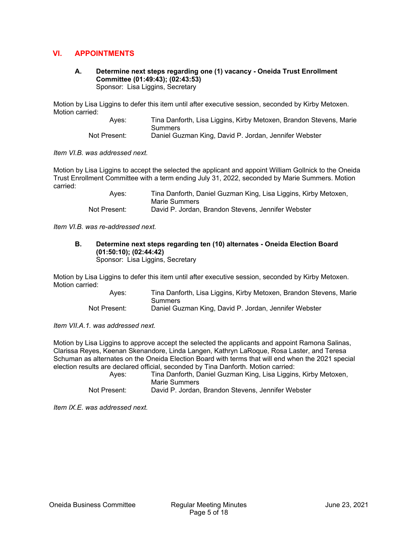## **VI. APPOINTMENTS**

**A. Determine next steps regarding one (1) vacancy - Oneida Trust Enrollment Committee (01:49:43); (02:43:53)**  Sponsor: Lisa Liggins, Secretary

Motion by Lisa Liggins to defer this item until after executive session, seconded by Kirby Metoxen. Motion carried:

 Ayes: Tina Danforth, Lisa Liggins, Kirby Metoxen, Brandon Stevens, Marie **Summers** Not Present: Daniel Guzman King, David P. Jordan, Jennifer Webster

*Item VI.B. was addressed next.* 

Motion by Lisa Liggins to accept the selected the applicant and appoint William Gollnick to the Oneida Trust Enrollment Committee with a term ending July 31, 2022, seconded by Marie Summers. Motion carried:

| Ayes:        | Tina Danforth, Daniel Guzman King, Lisa Liggins, Kirby Metoxen, |
|--------------|-----------------------------------------------------------------|
|              | Marie Summers                                                   |
| Not Present: | David P. Jordan, Brandon Stevens, Jennifer Webster              |

*Item VI.B. was re-addressed next.* 

**B. Determine next steps regarding ten (10) alternates - Oneida Election Board (01:50:10); (02:44:42)**  Sponsor: Lisa Liggins, Secretary

Motion by Lisa Liggins to defer this item until after executive session, seconded by Kirby Metoxen. Motion carried:

> Ayes: Tina Danforth, Lisa Liggins, Kirby Metoxen, Brandon Stevens, Marie **Summers** Not Present: Daniel Guzman King, David P. Jordan, Jennifer Webster

*Item VII.A.1. was addressed next.* 

Motion by Lisa Liggins to approve accept the selected the applicants and appoint Ramona Salinas, Clarissa Reyes, Keenan Skenandore, Linda Langen, Kathryn LaRoque, Rosa Laster, and Teresa Schuman as alternates on the Oneida Election Board with terms that will end when the 2021 special election results are declared official, seconded by Tina Danforth. Motion carried:

| Ayes:        | Tina Danforth, Daniel Guzman King, Lisa Liggins, Kirby Metoxen, |
|--------------|-----------------------------------------------------------------|
|              | Marie Summers                                                   |
| Not Present: | David P. Jordan, Brandon Stevens, Jennifer Webster              |

*Item IX.E. was addressed next.*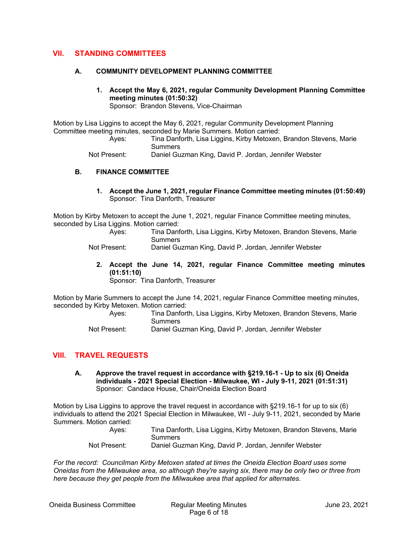## **VII. STANDING COMMITTEES**

#### **A. COMMUNITY DEVELOPMENT PLANNING COMMITTEE**

**1. Accept the May 6, 2021, regular Community Development Planning Committee meeting minutes (01:50:32)**  Sponsor: Brandon Stevens, Vice-Chairman

Motion by Lisa Liggins to accept the May 6, 2021, regular Community Development Planning Committee meeting minutes, seconded by Marie Summers. Motion carried:

 Ayes: Tina Danforth, Lisa Liggins, Kirby Metoxen, Brandon Stevens, Marie Summers

Not Present: Daniel Guzman King, David P. Jordan, Jennifer Webster

#### **B. FINANCE COMMITTEE**

**1. Accept the June 1, 2021, regular Finance Committee meeting minutes (01:50:49)**  Sponsor: Tina Danforth, Treasurer

Motion by Kirby Metoxen to accept the June 1, 2021, regular Finance Committee meeting minutes, seconded by Lisa Liggins. Motion carried:

 Ayes: Tina Danforth, Lisa Liggins, Kirby Metoxen, Brandon Stevens, Marie **Summers** 

Not Present: Daniel Guzman King, David P. Jordan, Jennifer Webster

**2. Accept the June 14, 2021, regular Finance Committee meeting minutes (01:51:10)** 

Sponsor: Tina Danforth, Treasurer

Motion by Marie Summers to accept the June 14, 2021, regular Finance Committee meeting minutes, seconded by Kirby Metoxen. Motion carried:

 Ayes: Tina Danforth, Lisa Liggins, Kirby Metoxen, Brandon Stevens, Marie **Summers** 

Not Present: Daniel Guzman King, David P. Jordan, Jennifer Webster

## **VIII. TRAVEL REQUESTS**

**A. Approve the travel request in accordance with §219.16-1 - Up to six (6) Oneida individuals - 2021 Special Election - Milwaukee, WI - July 9-11, 2021 (01:51:31)**  Sponsor: Candace House, Chair/Oneida Election Board

Motion by Lisa Liggins to approve the travel request in accordance with §219.16-1 for up to six (6) individuals to attend the 2021 Special Election in Milwaukee, WI - July 9-11, 2021, seconded by Marie Summers. Motion carried:

| Aves:        | Tina Danforth, Lisa Liggins, Kirby Metoxen, Brandon Stevens, Marie |
|--------------|--------------------------------------------------------------------|
|              | <b>Summers</b>                                                     |
| Not Present: | Daniel Guzman King, David P. Jordan, Jennifer Webster              |

*For the record: Councilman Kirby Metoxen stated at times the Oneida Election Board uses some Oneidas from the Milwaukee area, so although they're saying six, there may be only two or three from here because they get people from the Milwaukee area that applied for alternates.*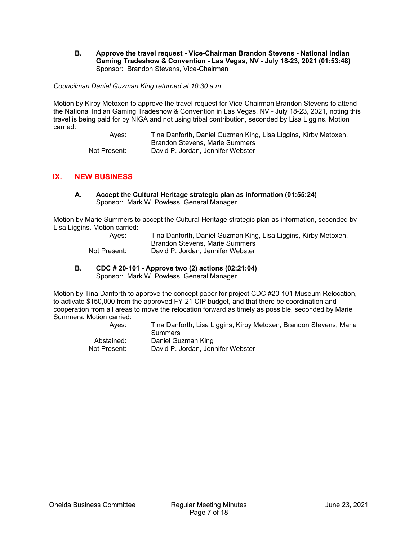**B. Approve the travel request - Vice-Chairman Brandon Stevens - National Indian Gaming Tradeshow & Convention - Las Vegas, NV - July 18-23, 2021 (01:53:48)**  Sponsor: Brandon Stevens, Vice-Chairman

*Councilman Daniel Guzman King returned at 10:30 a.m.* 

Motion by Kirby Metoxen to approve the travel request for Vice-Chairman Brandon Stevens to attend the National Indian Gaming Tradeshow & Convention in Las Vegas, NV - July 18-23, 2021, noting this travel is being paid for by NIGA and not using tribal contribution, seconded by Lisa Liggins. Motion carried:

> Ayes: Tina Danforth, Daniel Guzman King, Lisa Liggins, Kirby Metoxen, Brandon Stevens, Marie Summers Not Present: David P. Jordan, Jennifer Webster

## **IX. NEW BUSINESS**

**A. Accept the Cultural Heritage strategic plan as information (01:55:24)**  Sponsor: Mark W. Powless, General Manager

Motion by Marie Summers to accept the Cultural Heritage strategic plan as information, seconded by Lisa Liggins. Motion carried:

| Ayes:        | Tina Danforth, Daniel Guzman King, Lisa Liggins, Kirby Metoxen, |
|--------------|-----------------------------------------------------------------|
|              | Brandon Stevens, Marie Summers                                  |
| Not Present: | David P. Jordan. Jennifer Webster                               |

**B. CDC # 20-101 - Approve two (2) actions (02:21:04)**  Sponsor: Mark W. Powless, General Manager

Motion by Tina Danforth to approve the concept paper for project CDC #20-101 Museum Relocation, to activate \$150,000 from the approved FY-21 CIP budget, and that there be coordination and cooperation from all areas to move the relocation forward as timely as possible, seconded by Marie Summers. Motion carried:

> Ayes: Tina Danforth, Lisa Liggins, Kirby Metoxen, Brandon Stevens, Marie Summers Abstained: Daniel Guzman King Not Present: David P. Jordan, Jennifer Webster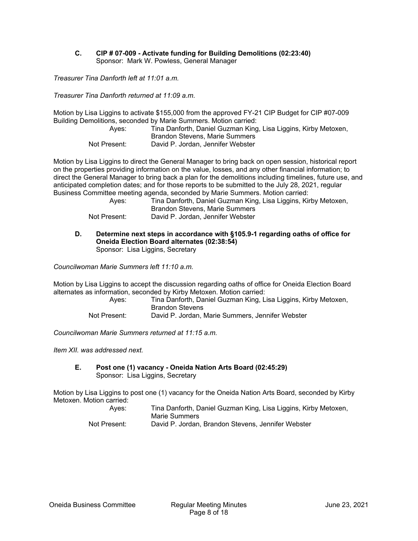#### **C. CIP # 07-009 - Activate funding for Building Demolitions (02:23:40)**  Sponsor: Mark W. Powless, General Manager

*Treasurer Tina Danforth left at 11:01 a.m.* 

*Treasurer Tina Danforth returned at 11:09 a.m.* 

Motion by Lisa Liggins to activate \$155,000 from the approved FY-21 CIP Budget for CIP #07-009 Building Demolitions, seconded by Marie Summers. Motion carried:

| Ayes:        | Tina Danforth, Daniel Guzman King, Lisa Liggins, Kirby Metoxen, |
|--------------|-----------------------------------------------------------------|
|              | Brandon Stevens, Marie Summers                                  |
| Not Present: | David P. Jordan, Jennifer Webster                               |

Motion by Lisa Liggins to direct the General Manager to bring back on open session, historical report on the properties providing information on the value, losses, and any other financial information; to direct the General Manager to bring back a plan for the demolitions including timelines, future use, and anticipated completion dates; and for those reports to be submitted to the July 28, 2021, regular Business Committee meeting agenda, seconded by Marie Summers. Motion carried:

| Ayes:        | Tina Danforth, Daniel Guzman King, Lisa Liggins, Kirby Metoxen, |
|--------------|-----------------------------------------------------------------|
|              | Brandon Stevens, Marie Summers                                  |
| Not Present: | David P. Jordan, Jennifer Webster                               |

#### **D. Determine next steps in accordance with §105.9-1 regarding oaths of office for Oneida Election Board alternates (02:38:54)**  Sponsor: Lisa Liggins, Secretary

*Councilwoman Marie Summers left 11:10 a.m.* 

Motion by Lisa Liggins to accept the discussion regarding oaths of office for Oneida Election Board alternates as information, seconded by Kirby Metoxen. Motion carried:

| Ayes:        | Tina Danforth, Daniel Guzman King, Lisa Liggins, Kirby Metoxen, |
|--------------|-----------------------------------------------------------------|
|              | <b>Brandon Stevens</b>                                          |
| Not Present: | David P. Jordan, Marie Summers, Jennifer Webster                |

*Councilwoman Marie Summers returned at 11:15 a.m.* 

*Item XII. was addressed next.* 

**E. Post one (1) vacancy - Oneida Nation Arts Board (02:45:29)**  Sponsor: Lisa Liggins, Secretary

Motion by Lisa Liggins to post one (1) vacancy for the Oneida Nation Arts Board, seconded by Kirby Metoxen. Motion carried:

| Ayes:        | Tina Danforth, Daniel Guzman King, Lisa Liggins, Kirby Metoxen, |
|--------------|-----------------------------------------------------------------|
|              | Marie Summers                                                   |
| Not Present: | David P. Jordan, Brandon Stevens, Jennifer Webster              |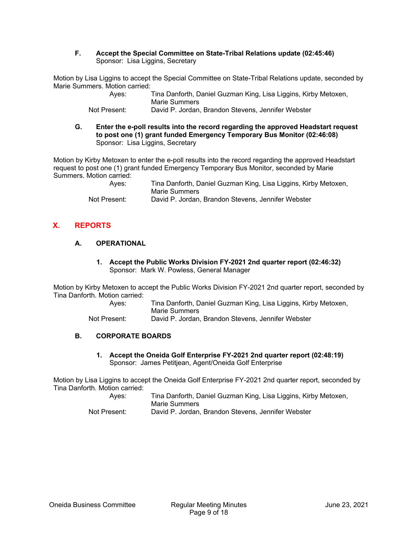**F. Accept the Special Committee on State-Tribal Relations update (02:45:46)**  Sponsor: Lisa Liggins, Secretary

Motion by Lisa Liggins to accept the Special Committee on State-Tribal Relations update, seconded by Marie Summers. Motion carried:

| Ayes:        | Tina Danforth, Daniel Guzman King, Lisa Liggins, Kirby Metoxen, |
|--------------|-----------------------------------------------------------------|
|              | Marie Summers                                                   |
| Not Present: | David P. Jordan, Brandon Stevens, Jennifer Webster              |

**G. Enter the e-poll results into the record regarding the approved Headstart request to post one (1) grant funded Emergency Temporary Bus Monitor (02:46:08)**  Sponsor: Lisa Liggins, Secretary

Motion by Kirby Metoxen to enter the e-poll results into the record regarding the approved Headstart request to post one (1) grant funded Emergency Temporary Bus Monitor, seconded by Marie Summers. Motion carried:

| Ayes:        | Tina Danforth, Daniel Guzman King, Lisa Liggins, Kirby Metoxen, |
|--------------|-----------------------------------------------------------------|
|              | Marie Summers                                                   |
| Not Present: | David P. Jordan, Brandon Stevens, Jennifer Webster              |

# **X. REPORTS**

## **A. OPERATIONAL**

**1. Accept the Public Works Division FY-2021 2nd quarter report (02:46:32)**  Sponsor: Mark W. Powless, General Manager

Motion by Kirby Metoxen to accept the Public Works Division FY-2021 2nd quarter report, seconded by Tina Danforth. Motion carried:

 Ayes: Tina Danforth, Daniel Guzman King, Lisa Liggins, Kirby Metoxen, Marie Summers

Not Present: David P. Jordan, Brandon Stevens, Jennifer Webster

# **B. CORPORATE BOARDS**

**1. Accept the Oneida Golf Enterprise FY-2021 2nd quarter report (02:48:19)**  Sponsor: James Petitjean, Agent/Oneida Golf Enterprise

Motion by Lisa Liggins to accept the Oneida Golf Enterprise FY-2021 2nd quarter report, seconded by Tina Danforth. Motion carried:

| Ayes:        | Tina Danforth, Daniel Guzman King, Lisa Liggins, Kirby Metoxen, |
|--------------|-----------------------------------------------------------------|
|              | Marie Summers                                                   |
| Not Present: | David P. Jordan, Brandon Stevens, Jennifer Webster              |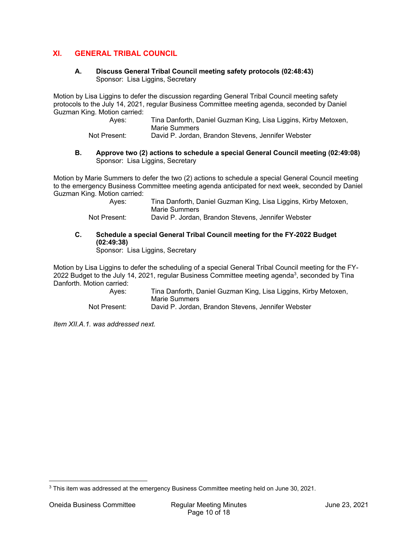# **XI. GENERAL TRIBAL COUNCIL**

#### **A. Discuss General Tribal Council meeting safety protocols (02:48:43)**  Sponsor: Lisa Liggins, Secretary

Motion by Lisa Liggins to defer the discussion regarding General Tribal Council meeting safety protocols to the July 14, 2021, regular Business Committee meeting agenda, seconded by Daniel Guzman King. Motion carried:

| Ayes: | Tina Danforth, Daniel Guzman King, Lisa Liggins, Kirby Metoxen,<br>Marie Summers |
|-------|----------------------------------------------------------------------------------|
|       |                                                                                  |

Not Present: David P. Jordan, Brandon Stevens, Jennifer Webster

#### **B. Approve two (2) actions to schedule a special General Council meeting (02:49:08)**  Sponsor: Lisa Liggins, Secretary

Motion by Marie Summers to defer the two (2) actions to schedule a special General Council meeting to the emergency Business Committee meeting agenda anticipated for next week, seconded by Daniel Guzman King. Motion carried:

| Ayes:        | Tina Danforth, Daniel Guzman King, Lisa Liggins, Kirby Metoxen, |
|--------------|-----------------------------------------------------------------|
|              | Marie Summers                                                   |
| Not Drooppti | Dovid D. Jardan, Pranden Stovens, Jannifar Wabster              |

Not Present: David P. Jordan, Brandon Stevens, Jennifer Webster

## **C. Schedule a special General Tribal Council meeting for the FY-2022 Budget (02:49:38)**

Sponsor: Lisa Liggins, Secretary

Motion by Lisa Liggins to defer the scheduling of a special General Tribal Council meeting for the FY-2022 Budget to the July 14, 2021, regular Business Committee meeting agenda<sup>3</sup>, seconded by Tina Danforth. Motion carried:

 Ayes: Tina Danforth, Daniel Guzman King, Lisa Liggins, Kirby Metoxen, Marie Summers Not Present: David P. Jordan, Brandon Stevens, Jennifer Webster

*Item XII.A.1. was addressed next.* 

<sup>&</sup>lt;sup>3</sup> This item was addressed at the emergency Business Committee meeting held on June 30, 2021.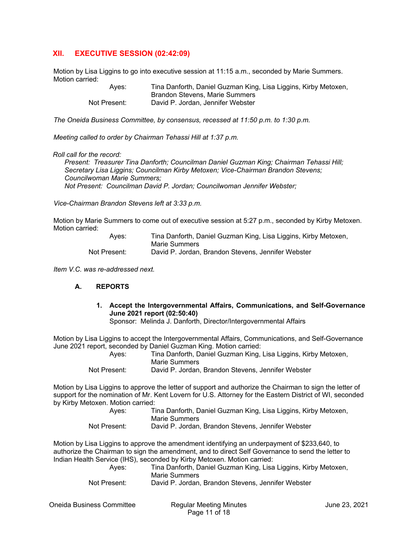## **XII. EXECUTIVE SESSION (02:42:09)**

Motion by Lisa Liggins to go into executive session at 11:15 a.m., seconded by Marie Summers. Motion carried:

| Ayes:        | Tina Danforth, Daniel Guzman King, Lisa Liggins, Kirby Metoxen, |
|--------------|-----------------------------------------------------------------|
|              | Brandon Stevens, Marie Summers                                  |
| Not Present: | David P. Jordan. Jennifer Webster                               |

*The Oneida Business Committee, by consensus, recessed at 11:50 p.m. to 1:30 p.m.* 

*Meeting called to order by Chairman Tehassi Hill at 1:37 p.m.* 

#### *Roll call for the record:*

*Present: Treasurer Tina Danforth; Councilman Daniel Guzman King; Chairman Tehassi Hill; Secretary Lisa Liggins; Councilman Kirby Metoxen; Vice-Chairman Brandon Stevens; Councilwoman Marie Summers; Not Present: Councilman David P. Jordan; Councilwoman Jennifer Webster;* 

*Vice-Chairman Brandon Stevens left at 3:33 p.m.* 

Motion by Marie Summers to come out of executive session at 5:27 p.m., seconded by Kirby Metoxen. Motion carried:

| Ayes:        | Tina Danforth, Daniel Guzman King, Lisa Liggins, Kirby Metoxen, |
|--------------|-----------------------------------------------------------------|
|              | Marie Summers                                                   |
| Not Present: | David P. Jordan, Brandon Stevens, Jennifer Webster              |

*Item V.C. was re-addressed next.* 

## **A. REPORTS**

**1. Accept the Intergovernmental Affairs, Communications, and Self-Governance June 2021 report (02:50:40)** 

Sponsor: Melinda J. Danforth, Director/Intergovernmental Affairs

Motion by Lisa Liggins to accept the Intergovernmental Affairs, Communications, and Self-Governance June 2021 report, seconded by Daniel Guzman King. Motion carried:

| Aves:        | Tina Danforth, Daniel Guzman King, Lisa Liggins, Kirby Metoxen,<br>Marie Summers |
|--------------|----------------------------------------------------------------------------------|
| Not Present: | David P. Jordan, Brandon Stevens, Jennifer Webster                               |

Motion by Lisa Liggins to approve the letter of support and authorize the Chairman to sign the letter of support for the nomination of Mr. Kent Lovern for U.S. Attorney for the Eastern District of WI, seconded by Kirby Metoxen. Motion carried:

| Ayes:        | Tina Danforth, Daniel Guzman King, Lisa Liggins, Kirby Metoxen, |
|--------------|-----------------------------------------------------------------|
|              | Marie Summers                                                   |
| Not Present: | David P. Jordan, Brandon Stevens, Jennifer Webster              |

Motion by Lisa Liggins to approve the amendment identifying an underpayment of \$233,640, to authorize the Chairman to sign the amendment, and to direct Self Governance to send the letter to Indian Health Service (IHS), seconded by Kirby Metoxen. Motion carried:

| Ayes:        | Tina Danforth, Daniel Guzman King, Lisa Liggins, Kirby Metoxen,<br>Marie Summers |
|--------------|----------------------------------------------------------------------------------|
| Not Present: | David P. Jordan, Brandon Stevens, Jennifer Webster                               |

Oneida Business Committee Regular Meeting Minutes June 23, 2021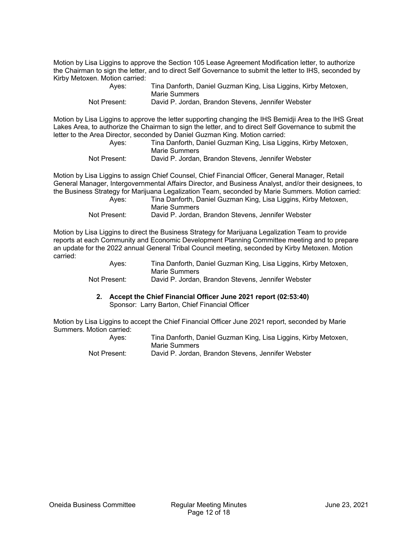Motion by Lisa Liggins to approve the Section 105 Lease Agreement Modification letter, to authorize the Chairman to sign the letter, and to direct Self Governance to submit the letter to IHS, seconded by Kirby Metoxen. Motion carried:

| Ayes:        | Tina Danforth, Daniel Guzman King, Lisa Liggins, Kirby Metoxen, |
|--------------|-----------------------------------------------------------------|
|              | Marie Summers                                                   |
| Not Present: | David P. Jordan, Brandon Stevens, Jennifer Webster              |

Motion by Lisa Liggins to approve the letter supporting changing the IHS Bemidji Area to the IHS Great Lakes Area, to authorize the Chairman to sign the letter, and to direct Self Governance to submit the letter to the Area Director, seconded by Daniel Guzman King. Motion carried:

| Ayes:        | Tina Danforth, Daniel Guzman King, Lisa Liggins, Kirby Metoxen, |
|--------------|-----------------------------------------------------------------|
|              | Marie Summers                                                   |
| Not Present: | David P. Jordan. Brandon Stevens. Jennifer Webster              |

Motion by Lisa Liggins to assign Chief Counsel, Chief Financial Officer, General Manager, Retail General Manager, Intergovernmental Affairs Director, and Business Analyst, and/or their designees, to the Business Strategy for Marijuana Legalization Team, seconded by Marie Summers. Motion carried:

| Ayes:        | Tina Danforth, Daniel Guzman King, Lisa Liggins, Kirby Metoxen, |
|--------------|-----------------------------------------------------------------|
|              | Marie Summers                                                   |
| Not Present: | David P. Jordan, Brandon Stevens, Jennifer Webster              |

Motion by Lisa Liggins to direct the Business Strategy for Marijuana Legalization Team to provide reports at each Community and Economic Development Planning Committee meeting and to prepare an update for the 2022 annual General Tribal Council meeting, seconded by Kirby Metoxen. Motion carried:

| Aves:        | Tina Danforth, Daniel Guzman King, Lisa Liggins, Kirby Metoxen,<br>Marie Summers |
|--------------|----------------------------------------------------------------------------------|
| Not Present: | David P. Jordan, Brandon Stevens, Jennifer Webster                               |

**2. Accept the Chief Financial Officer June 2021 report (02:53:40)**  Sponsor: Larry Barton, Chief Financial Officer

Motion by Lisa Liggins to accept the Chief Financial Officer June 2021 report, seconded by Marie Summers. Motion carried:

| Ayes:        | Tina Danforth, Daniel Guzman King, Lisa Liggins, Kirby Metoxen, |
|--------------|-----------------------------------------------------------------|
|              | Marie Summers                                                   |
| Not Present: | David P. Jordan, Brandon Stevens, Jennifer Webster              |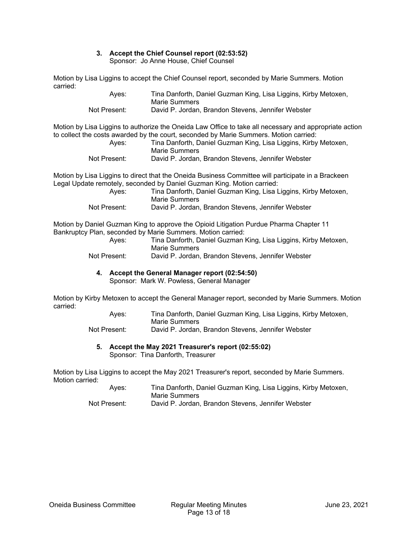# **3. Accept the Chief Counsel report (02:53:52)**

Sponsor: Jo Anne House, Chief Counsel

Motion by Lisa Liggins to accept the Chief Counsel report, seconded by Marie Summers. Motion carried:

| Ayes:        | Tina Danforth, Daniel Guzman King, Lisa Liggins, Kirby Metoxen, |
|--------------|-----------------------------------------------------------------|
|              | Marie Summers                                                   |
| Not Present: | David P. Jordan, Brandon Stevens, Jennifer Webster              |

Motion by Lisa Liggins to authorize the Oneida Law Office to take all necessary and appropriate action to collect the costs awarded by the court, seconded by Marie Summers. Motion carried:

| Ayes: | Tina Danforth, Daniel Guzman King, Lisa Liggins, Kirby Metoxen,<br>Marie Summers |
|-------|----------------------------------------------------------------------------------|
|       |                                                                                  |

Not Present: David P. Jordan, Brandon Stevens, Jennifer Webster

Motion by Lisa Liggins to direct that the Oneida Business Committee will participate in a Brackeen Legal Update remotely, seconded by Daniel Guzman King. Motion carried:

| Ayes:        | Tina Danforth, Daniel Guzman King, Lisa Liggins, Kirby Metoxen,<br>Marie Summers |
|--------------|----------------------------------------------------------------------------------|
| Not Present: | David P. Jordan, Brandon Stevens, Jennifer Webster                               |

Motion by Daniel Guzman King to approve the Opioid Litigation Purdue Pharma Chapter 11 Bankruptcy Plan, seconded by Marie Summers. Motion carried:

| Ayes:        | Tina Danforth, Daniel Guzman King, Lisa Liggins, Kirby Metoxen,<br>Marie Summers |
|--------------|----------------------------------------------------------------------------------|
| Not Present: | David P. Jordan, Brandon Stevens, Jennifer Webster                               |

# **4. Accept the General Manager report (02:54:50)**

Sponsor: Mark W. Powless, General Manager

Motion by Kirby Metoxen to accept the General Manager report, seconded by Marie Summers. Motion carried:

| Ayes:        | Tina Danforth, Daniel Guzman King, Lisa Liggins, Kirby Metoxen, |
|--------------|-----------------------------------------------------------------|
|              | Marie Summers                                                   |
| Not Present: | David P. Jordan, Brandon Stevens, Jennifer Webster              |

# **5. Accept the May 2021 Treasurer's report (02:55:02)**

Sponsor: Tina Danforth, Treasurer

Motion by Lisa Liggins to accept the May 2021 Treasurer's report, seconded by Marie Summers. Motion carried:

| Ayes:        | Tina Danforth, Daniel Guzman King, Lisa Liggins, Kirby Metoxen, |
|--------------|-----------------------------------------------------------------|
|              | Marie Summers                                                   |
| Not Present: | David P. Jordan, Brandon Stevens, Jennifer Webster              |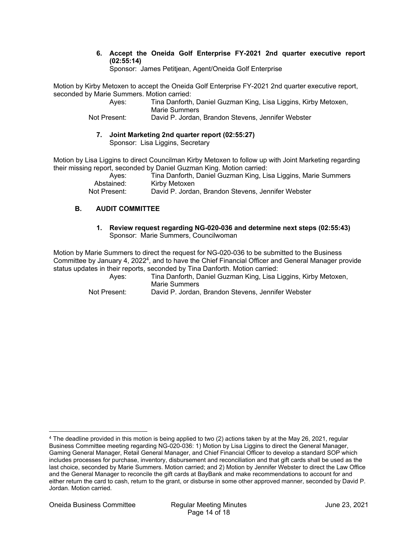#### **6. Accept the Oneida Golf Enterprise FY-2021 2nd quarter executive report (02:55:14)**

Sponsor: James Petitjean, Agent/Oneida Golf Enterprise

Motion by Kirby Metoxen to accept the Oneida Golf Enterprise FY-2021 2nd quarter executive report, seconded by Marie Summers. Motion carried:

> Ayes: Tina Danforth, Daniel Guzman King, Lisa Liggins, Kirby Metoxen, Marie Summers Not Present: David P. Jordan, Brandon Stevens, Jennifer Webster

**7. Joint Marketing 2nd quarter report (02:55:27)**  Sponsor: Lisa Liggins, Secretary

Motion by Lisa Liggins to direct Councilman Kirby Metoxen to follow up with Joint Marketing regarding their missing report, seconded by Daniel Guzman King. Motion carried:

 Ayes: Tina Danforth, Daniel Guzman King, Lisa Liggins, Marie Summers Abstained: Kirby Metoxen Not Present: David P. Jordan, Brandon Stevens, Jennifer Webster

# **B. AUDIT COMMITTEE**

**1. Review request regarding NG-020-036 and determine next steps (02:55:43)**  Sponsor: Marie Summers, Councilwoman

Motion by Marie Summers to direct the request for NG-020-036 to be submitted to the Business Committee by January 4, 20224, and to have the Chief Financial Officer and General Manager provide status updates in their reports, seconded by Tina Danforth. Motion carried:

 Ayes: Tina Danforth, Daniel Guzman King, Lisa Liggins, Kirby Metoxen, Marie Summers

Not Present: David P. Jordan, Brandon Stevens, Jennifer Webster

<sup>4</sup> The deadline provided in this motion is being applied to two (2) actions taken by at the May 26, 2021, regular Business Committee meeting regarding NG-020-036: 1) Motion by Lisa Liggins to direct the General Manager, Gaming General Manager, Retail General Manager, and Chief Financial Officer to develop a standard SOP which includes processes for purchase, inventory, disbursement and reconciliation and that gift cards shall be used as the last choice, seconded by Marie Summers. Motion carried; and 2) Motion by Jennifer Webster to direct the Law Office and the General Manager to reconcile the gift cards at BayBank and make recommendations to account for and either return the card to cash, return to the grant, or disburse in some other approved manner, seconded by David P. Jordan. Motion carried.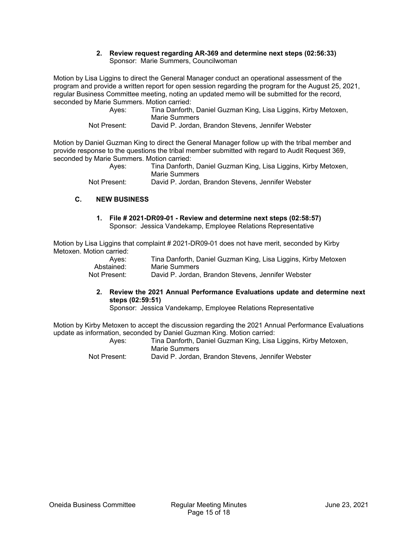#### **2. Review request regarding AR-369 and determine next steps (02:56:33)**  Sponsor: Marie Summers, Councilwoman

Motion by Lisa Liggins to direct the General Manager conduct an operational assessment of the program and provide a written report for open session regarding the program for the August 25, 2021, regular Business Committee meeting, noting an updated memo will be submitted for the record, seconded by Marie Summers. Motion carried:

| Ayes:        | Tina Danforth, Daniel Guzman King, Lisa Liggins, Kirby Metoxen,<br>Marie Summers |
|--------------|----------------------------------------------------------------------------------|
| Not Present: | David P. Jordan, Brandon Stevens, Jennifer Webster                               |

Motion by Daniel Guzman King to direct the General Manager follow up with the tribal member and provide response to the questions the tribal member submitted with regard to Audit Request 369, seconded by Marie Summers. Motion carried:

| Ayes:        | Tina Danforth, Daniel Guzman King, Lisa Liggins, Kirby Metoxen, |
|--------------|-----------------------------------------------------------------|
|              | Marie Summers                                                   |
| Not Present: | David P. Jordan, Brandon Stevens, Jennifer Webster              |

## **C. NEW BUSINESS**

**1. File # 2021-DR09-01 - Review and determine next steps (02:58:57)**  Sponsor: Jessica Vandekamp, Employee Relations Representative

Motion by Lisa Liggins that complaint # 2021-DR09-01 does not have merit, seconded by Kirby Metoxen. Motion carried:

| Ayes:        | Tina Danforth, Daniel Guzman King, Lisa Liggins, Kirby Metoxen |
|--------------|----------------------------------------------------------------|
| Abstained:   | Marie Summers                                                  |
| Not Present: | David P. Jordan, Brandon Stevens, Jennifer Webster             |

**2. Review the 2021 Annual Performance Evaluations update and determine next steps (02:59:51)** 

Sponsor: Jessica Vandekamp, Employee Relations Representative

Motion by Kirby Metoxen to accept the discussion regarding the 2021 Annual Performance Evaluations update as information, seconded by Daniel Guzman King. Motion carried:

| Ayes:        |               | Tina Danforth, Daniel Guzman King, Lisa Liggins, Kirby Metoxen, |  |
|--------------|---------------|-----------------------------------------------------------------|--|
|              | Marie Summers |                                                                 |  |
| Not Present: |               | David P. Jordan, Brandon Stevens, Jennifer Webster              |  |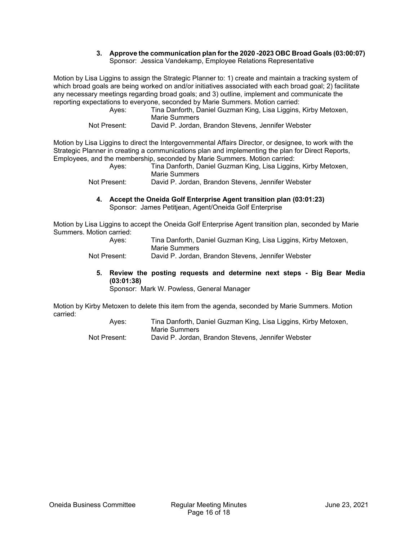#### **3. Approve the communication plan for the 2020 -2023 OBC Broad Goals (03:00:07)**  Sponsor: Jessica Vandekamp, Employee Relations Representative

Motion by Lisa Liggins to assign the Strategic Planner to: 1) create and maintain a tracking system of which broad goals are being worked on and/or initiatives associated with each broad goal; 2) facilitate any necessary meetings regarding broad goals; and 3) outline, implement and communicate the reporting expectations to everyone, seconded by Marie Summers. Motion carried:

| Ayes:        | Tina Danforth, Daniel Guzman King, Lisa Liggins, Kirby Metoxen,<br>Marie Summers |
|--------------|----------------------------------------------------------------------------------|
| Not Present: | David P. Jordan, Brandon Stevens, Jennifer Webster                               |

Motion by Lisa Liggins to direct the Intergovernmental Affairs Director, or designee, to work with the Strategic Planner in creating a communications plan and implementing the plan for Direct Reports, Employees, and the membership, seconded by Marie Summers. Motion carried:

| Ayes:          | Tina Danforth, Daniel Guzman King, Lisa Liggins, Kirby Metoxen, |
|----------------|-----------------------------------------------------------------|
|                | Marie Summers                                                   |
| $\blacksquare$ | <b>Dudd D. Lades David D. Officers</b> Legal Control of a       |

| Not Present: | David P. Jordan, Brandon Stevens, Jennifer Webster |
|--------------|----------------------------------------------------|
|--------------|----------------------------------------------------|

**4. Accept the Oneida Golf Enterprise Agent transition plan (03:01:23)**  Sponsor: James Petitjean, Agent/Oneida Golf Enterprise

Motion by Lisa Liggins to accept the Oneida Golf Enterprise Agent transition plan, seconded by Marie Summers. Motion carried:

| Aves:        | Tina Danforth, Daniel Guzman King, Lisa Liggins, Kirby Metoxen, |
|--------------|-----------------------------------------------------------------|
|              | Marie Summers                                                   |
| Not Present: | David P. Jordan, Brandon Stevens, Jennifer Webster              |

**5. Review the posting requests and determine next steps - Big Bear Media (03:01:38)** 

Sponsor: Mark W. Powless, General Manager

Motion by Kirby Metoxen to delete this item from the agenda, seconded by Marie Summers. Motion carried:

| Ayes:        | Tina Danforth, Daniel Guzman King, Lisa Liggins, Kirby Metoxen, |
|--------------|-----------------------------------------------------------------|
|              | Marie Summers                                                   |
| Not Present: | David P. Jordan, Brandon Stevens, Jennifer Webster              |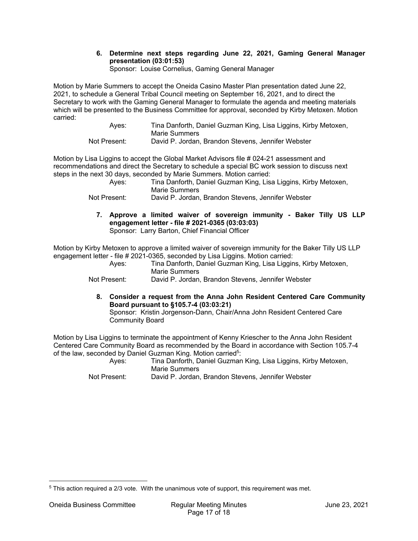## **6. Determine next steps regarding June 22, 2021, Gaming General Manager presentation (03:01:53)**

Sponsor: Louise Cornelius, Gaming General Manager

Motion by Marie Summers to accept the Oneida Casino Master Plan presentation dated June 22, 2021, to schedule a General Tribal Council meeting on September 16, 2021, and to direct the Secretary to work with the Gaming General Manager to formulate the agenda and meeting materials which will be presented to the Business Committee for approval, seconded by Kirby Metoxen. Motion carried:

| Ayes:        | Tina Danforth, Daniel Guzman King, Lisa Liggins, Kirby Metoxen, |
|--------------|-----------------------------------------------------------------|
|              | Marie Summers                                                   |
| Not Present: | David P. Jordan, Brandon Stevens, Jennifer Webster              |

Motion by Lisa Liggins to accept the Global Market Advisors file # 024-21 assessment and recommendations and direct the Secretary to schedule a special BC work session to discuss next steps in the next 30 days, seconded by Marie Summers. Motion carried:

| Ayes:        | Tina Danforth, Daniel Guzman King, Lisa Liggins, Kirby Metoxen,<br>Marie Summers |
|--------------|----------------------------------------------------------------------------------|
| Not Present: | David P. Jordan, Brandon Stevens, Jennifer Webster                               |

**7. Approve a limited waiver of sovereign immunity - Baker Tilly US LLP engagement letter - file # 2021-0365 (03:03:03)**  Sponsor: Larry Barton, Chief Financial Officer

Motion by Kirby Metoxen to approve a limited waiver of sovereign immunity for the Baker Tilly US LLP engagement letter - file # 2021-0365, seconded by Lisa Liggins. Motion carried:

| Aves:        | Tina Danforth, Daniel Guzman King, Lisa Liggins, Kirby Metoxen,<br>Marie Summers |
|--------------|----------------------------------------------------------------------------------|
| Not Present: | David P. Jordan, Brandon Stevens, Jennifer Webster                               |

**8. Consider a request from the Anna John Resident Centered Care Community Board pursuant to §105.7-4 (03:03:21)** 

Sponsor: Kristin Jorgenson-Dann, Chair/Anna John Resident Centered Care Community Board

Motion by Lisa Liggins to terminate the appointment of Kenny Kriescher to the Anna John Resident Centered Care Community Board as recommended by the Board in accordance with Section 105.7-4 of the law, seconded by Daniel Guzman King. Motion carried<sup>5</sup>:

 Ayes: Tina Danforth, Daniel Guzman King, Lisa Liggins, Kirby Metoxen, Marie Summers

Not Present: David P. Jordan, Brandon Stevens, Jennifer Webster

<sup>5</sup> This action required a 2/3 vote. With the unanimous vote of support, this requirement was met.